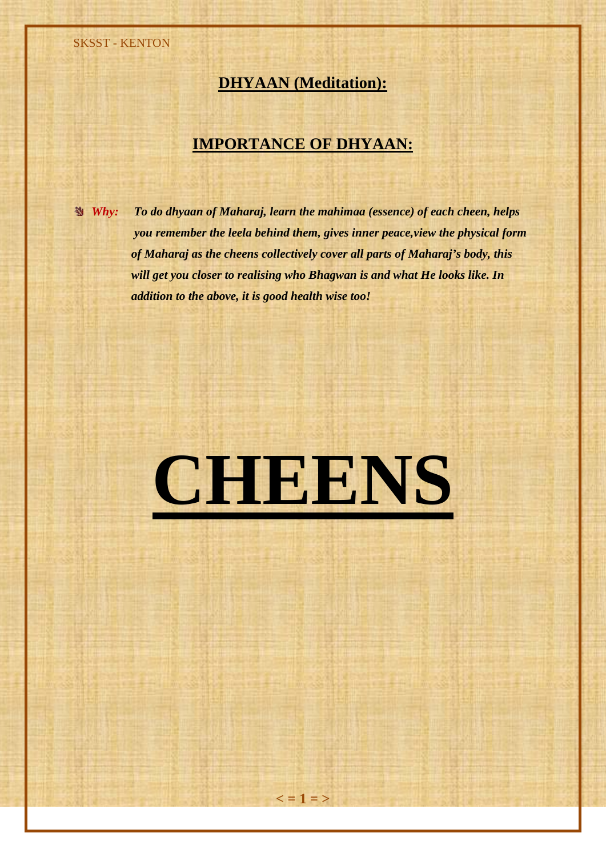SKSST - KENTON

# **DHYAAN (Meditation):**

# **IMPORTANCE OF DHYAAN:**

*Why: To do dhyaan of Maharaj, learn the mahimaa (essence) of each cheen, helps you remember the leela behind them, gives inner peace,view the physical form of Maharaj as the cheens collectively cover all parts of Maharaj's body, this will get you closer to realising who Bhagwan is and what He looks like. In addition to the above, it is good health wise too!*

# **CHEENS**

 $\leq$  = 1 = >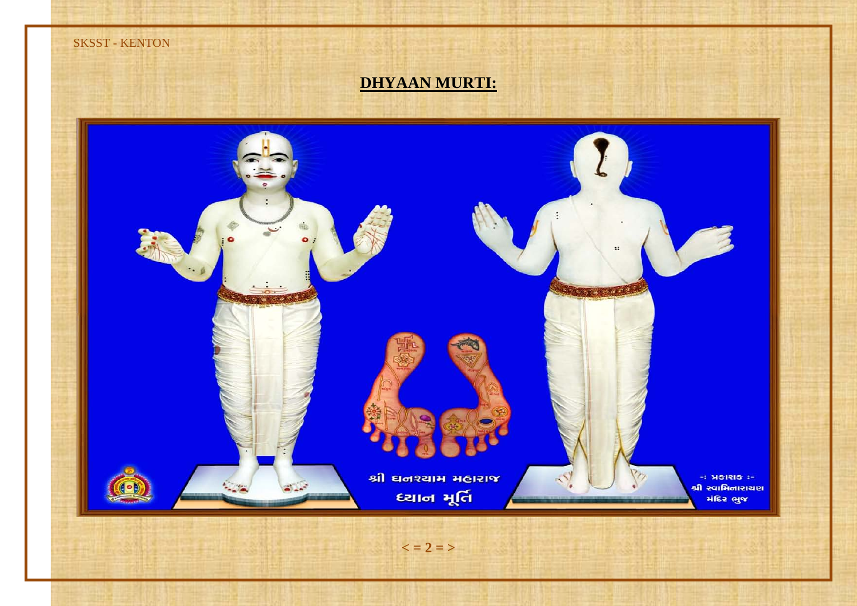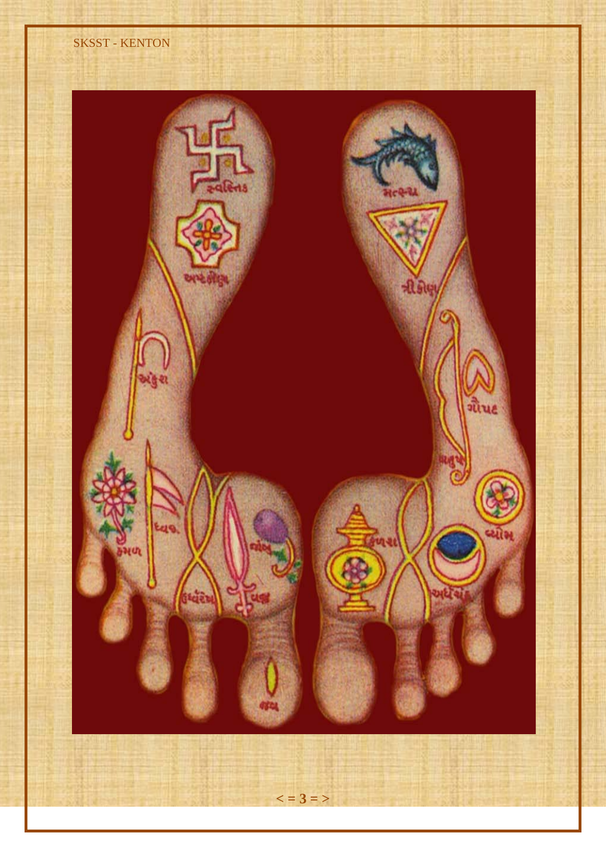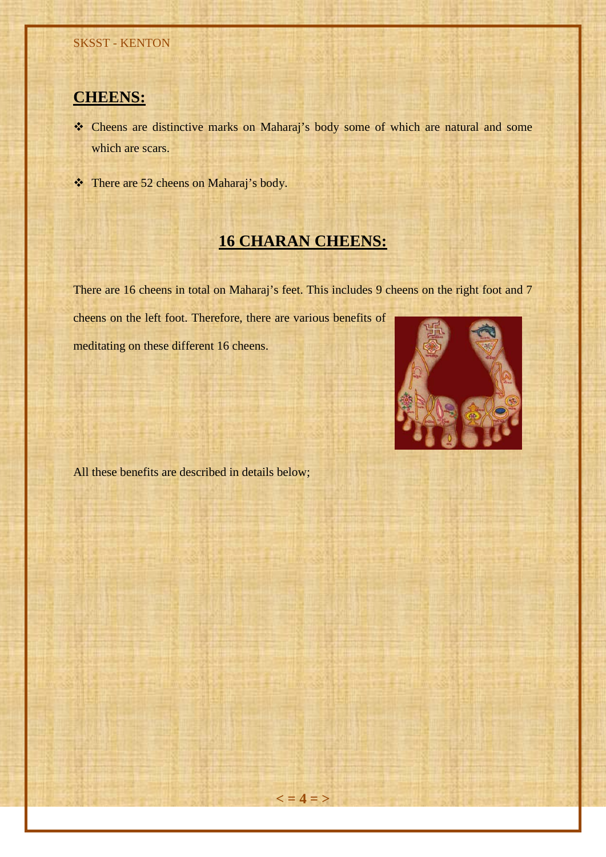# **CHEENS:**

- \* Cheens are distinctive marks on Maharaj's body some of which are natural and some which are scars.
- There are 52 cheens on Maharaj's body.

# **16 CHARAN CHEENS:**

There are 16 cheens in total on Maharaj's feet. This includes 9 cheens on the right foot and 7

 $\leq$  = 4 = >

cheens on the left foot. Therefore, there are various benefits of

meditating on these different 16 cheens.



All these benefits are described in details below;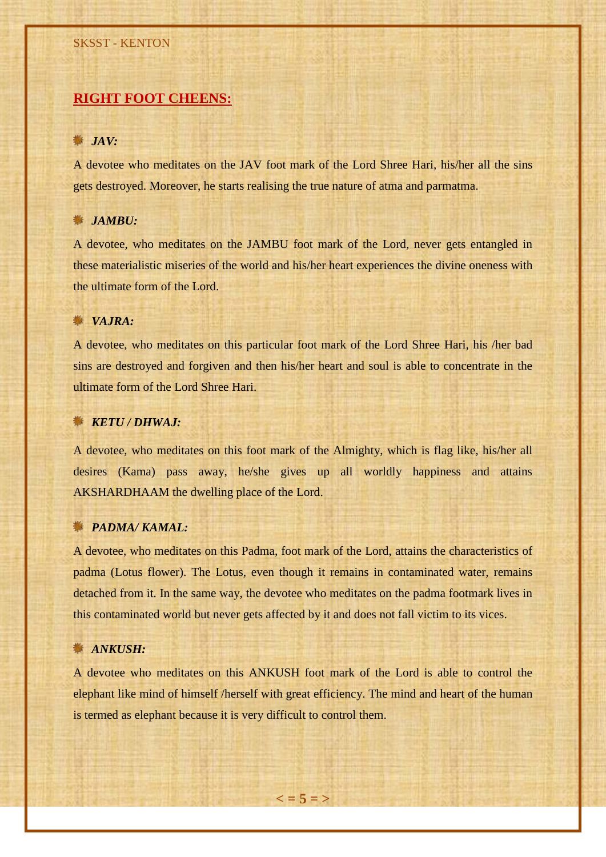# **RIGHT FOOT CHEENS:**

#### *JAV:*

A devotee who meditates on the JAV foot mark of the Lord Shree Hari, his/her all the sins gets destroyed. Moreover, he starts realising the true nature of atma and parmatma.

## *JAMBU:*

A devotee, who meditates on the JAMBU foot mark of the Lord, never gets entangled in these materialistic miseries of the world and his/her heart experiences the divine oneness with the ultimate form of the Lord.

#### *VAJRA:*

A devotee, who meditates on this particular foot mark of the Lord Shree Hari, his /her bad sins are destroyed and forgiven and then his/her heart and soul is able to concentrate in the ultimate form of the Lord Shree Hari.

### *KETU / DHWAJ:*

A devotee, who meditates on this foot mark of the Almighty, which is flag like, his/her all desires (Kama) pass away, he/she gives up all worldly happiness and attains AKSHARDHAAM the dwelling place of the Lord.

# *S* **PADMA/ KAMAL:**

A devotee, who meditates on this Padma, foot mark of the Lord, attains the characteristics of padma (Lotus flower). The Lotus, even though it remains in contaminated water, remains detached from it. In the same way, the devotee who meditates on the padma footmark lives in this contaminated world but never gets affected by it and does not fall victim to its vices.

## *ANKUSH:*

A devotee who meditates on this ANKUSH foot mark of the Lord is able to control the elephant like mind of himself /herself with great efficiency. The mind and heart of the human is termed as elephant because it is very difficult to control them.

 $\leq$  = 5 = >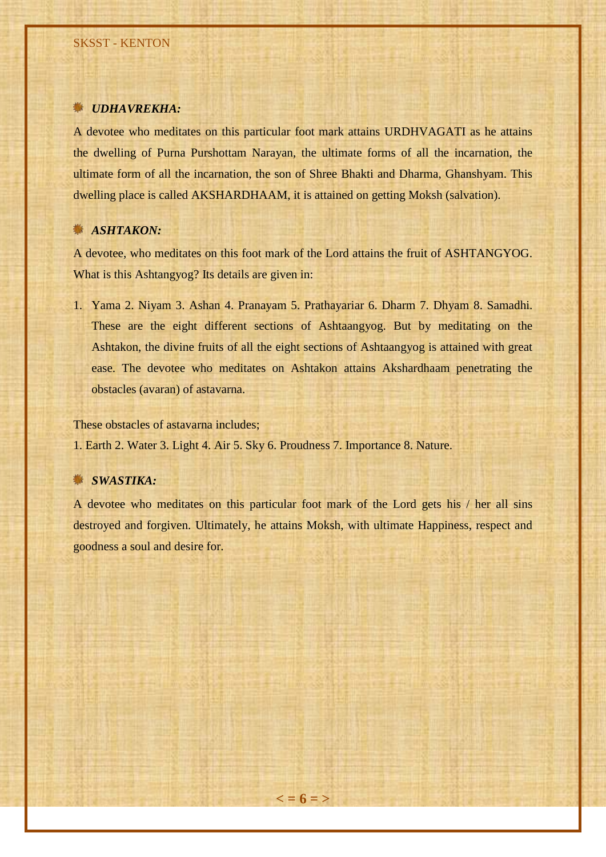### *UDHAVREKHA:*

A devotee who meditates on this particular foot mark attains URDHVAGATI as he attains the dwelling of Purna Purshottam Narayan, the ultimate forms of all the incarnation, the ultimate form of all the incarnation, the son of Shree Bhakti and Dharma, Ghanshyam. This dwelling place is called AKSHARDHAAM, it is attained on getting Moksh (salvation).

# *ASHTAKON:*

A devotee, who meditates on this foot mark of the Lord attains the fruit of ASHTANGYOG. What is this Ashtangyog? Its details are given in:

1. Yama 2. Niyam 3. Ashan 4. Pranayam 5. Prathayariar 6. Dharm 7. Dhyam 8. Samadhi. These are the eight different sections of Ashtaangyog. But by meditating on the Ashtakon, the divine fruits of all the eight sections of Ashtaangyog is attained with great ease. The devotee who meditates on Ashtakon attains Akshardhaam penetrating the obstacles (avaran) of astavarna.

These obstacles of astavarna includes;

1. Earth 2. Water 3. Light 4. Air 5. Sky 6. Proudness 7. Importance 8. Nature.

# *SWASTIKA:*

A devotee who meditates on this particular foot mark of the Lord gets his / her all sins destroyed and forgiven. Ultimately, he attains Moksh, with ultimate Happiness, respect and goodness a soul and desire for.

 $\leq$  = 6 = >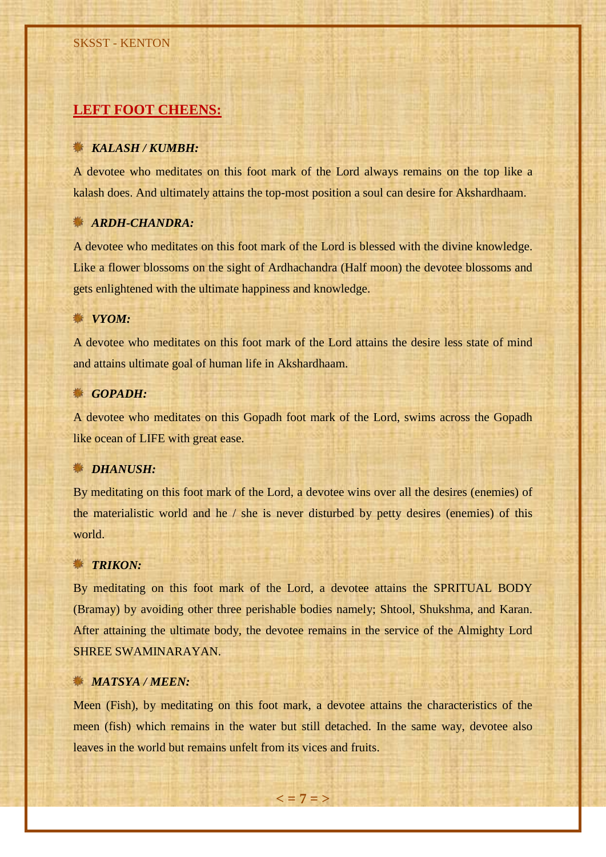# **LEFT FOOT CHEENS:**

#### *KALASH / KUMBH:*

A devotee who meditates on this foot mark of the Lord always remains on the top like a kalash does. And ultimately attains the top-most position a soul can desire for Akshardhaam.

### *ARDH-CHANDRA:*

A devotee who meditates on this foot mark of the Lord is blessed with the divine knowledge. Like a flower blossoms on the sight of Ardhachandra (Half moon) the devotee blossoms and gets enlightened with the ultimate happiness and knowledge.

#### *<u></u> VYOM*:

A devotee who meditates on this foot mark of the Lord attains the desire less state of mind and attains ultimate goal of human life in Akshardhaam.

#### *GOPADH:*

A devotee who meditates on this Gopadh foot mark of the Lord, swims across the Gopadh like ocean of LIFE with great ease.

#### *DHANUSH:*

By meditating on this foot mark of the Lord, a devotee wins over all the desires (enemies) of the materialistic world and he / she is never disturbed by petty desires (enemies) of this world.

## *<u></u></del> TRIKON:*

By meditating on this foot mark of the Lord, a devotee attains the SPRITUAL BODY (Bramay) by avoiding other three perishable bodies namely; Shtool, Shukshma, and Karan. After attaining the ultimate body, the devotee remains in the service of the Almighty Lord SHREE SWAMINARAYAN.

### *MATSYA / MEEN:*

Meen (Fish), by meditating on this foot mark, a devotee attains the characteristics of the meen (fish) which remains in the water but still detached. In the same way, devotee also leaves in the world but remains unfelt from its vices and fruits.

 $\leq$  = 7 = >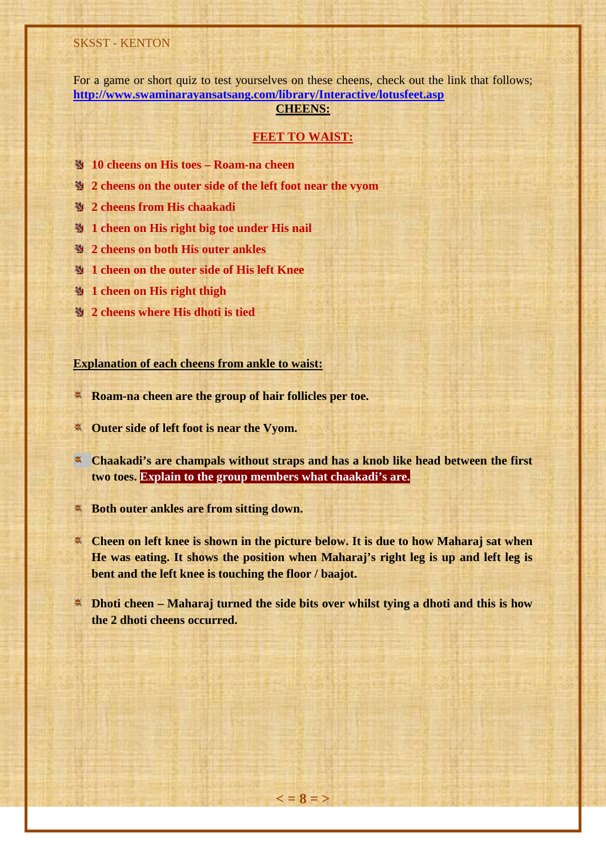#### SKSST - KENTON

For a game or short quiz to test yourselves on these cheens, check out the link that follows; **<http://www.swaminarayansatsang.com/library/Interactive/lotusfeet.asp>**

### **CHEENS:**

#### **FEET TO WAIST:**

- **10 cheens on His toes Roam-na cheen**
- **2 cheens on the outer side of the left foot near the vyom**
- **2 cheens from His chaakadi**
- **1 cheen on His right big toe under His nail**
- **2 cheens on both His outer ankles**
- **1 cheen on the outer side of His left Knee**
- **29 1 cheen on His right thigh**
- **2 cheens where His dhoti is tied**

**Explanation of each cheens from ankle to waist:**

- **Roam-na cheen are the group of hair follicles per toe.**
- **Outer side of left foot is near the Vyom.**
- **EXA** Chaakadi's are champals without straps and has a knob like head between the first **two toes. Explain to the group members what chaakadi's are.**
- **Both outer ankles are from sitting down.**
- **EXECTE IS NOT A THE EXECTE IS SHOWN IN THE PICTURE BELOW. It is due to how Maharaj sat when He was eating. It shows the position when Maharaj's right leg is up and left leg is bent and the left knee is touching the floor / baajot.**
- **Dhoti cheen – Maharaj turned the side bits over whilst tying a dhoti and this is how the 2 dhoti cheens occurred.**

 $\leq$  = 8 = >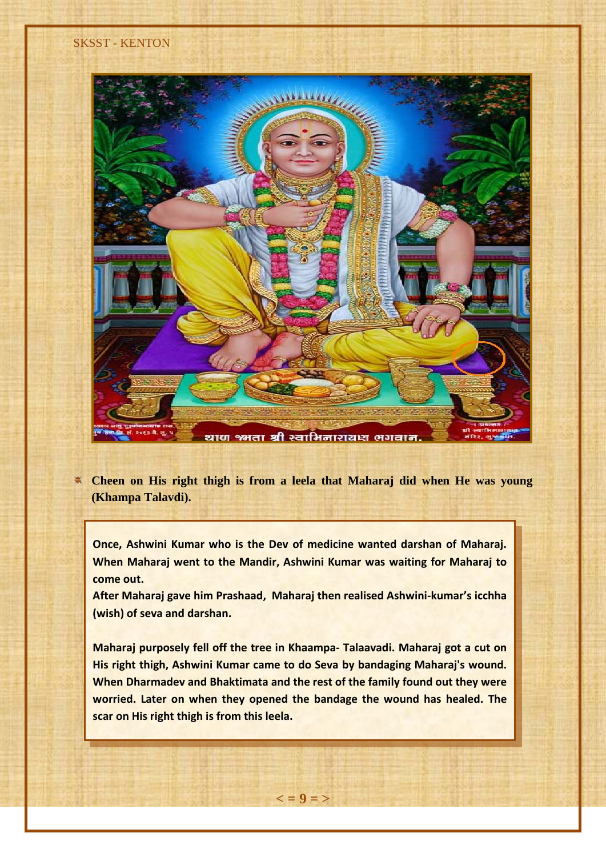

**Cheen on His right thigh is from a leela that Maharaj did when He was young (Khampa Talavdi).**

**Once, Ashwini Kumar who is the Dev of medicine wanted darshan of Maharaj. When Maharaj went to the Mandir, Ashwini Kumar was waiting for Maharaj to come out.**

**After Maharaj gave him Prashaad, Maharaj then realised Ashwini-kumar's icchha (wish) of seva and darshan.**

**Maharaj purposely fell off the tree in Khaampa- Talaavadi. Maharaj got a cut on His right thigh, Ashwini Kumar came to do Seva by bandaging Maharaj's wound. When Dharmadev and Bhaktimata and the rest of the family found out they were worried. Later on when they opened the bandage the wound has healed. The scar on His right thigh is from this leela.**

 $\lt$  = 9 = >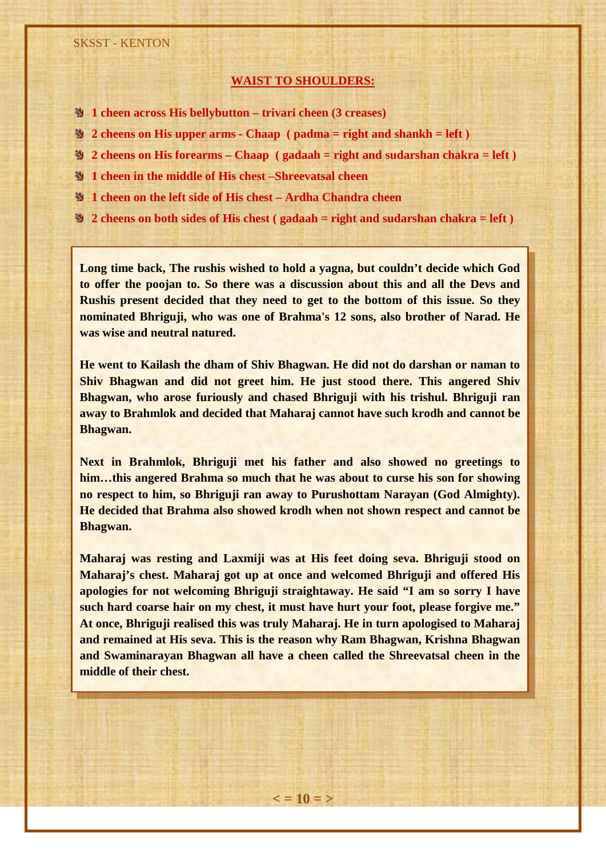#### **WAIST TO SHOULDERS:**

- **1 cheen across His bellybutton – trivari cheen (3 creases)**
- **2 cheens on His upper arms - Chaap ( padma = right and shankh = left )**
- **2 cheens on His forearms – Chaap ( gadaah = right and sudarshan chakra = left )**
- **1 cheen in the middle of His chest –Shreevatsal cheen**
- **1 cheen on the left side of His chest – Ardha Chandra cheen**
- **2 cheens on both sides of His chest ( gadaah = right and sudarshan chakra = left )**

**Long time back, The rushis wished to hold a yagna, but couldn't decide which God to offer the poojan to. So there was a discussion about this and all the Devs and Rushis present decided that they need to get to the bottom of this issue. So they nominated Bhriguji, who was one of Brahma's 12 sons, also brother of Narad. He was wise and neutral natured.**

**He went to Kailash the dham of Shiv Bhagwan. He did not do darshan or naman to Shiv Bhagwan and did not greet him. He just stood there. This angered Shiv Bhagwan, who arose furiously and chased Bhriguji with his trishul. Bhriguji ran away to Brahmlok and decided that Maharaj cannot have such krodh and cannot be Bhagwan.**

**Next in Brahmlok, Bhriguji met his father and also showed no greetings to him…this angered Brahma so much that he was about to curse his son for showing no respect to him, so Bhriguji ran away to Purushottam Narayan (God Almighty). He decided that Brahma also showed krodh when not shown respect and cannot be Bhagwan.**

**Maharaj was resting and Laxmiji was at His feet doing seva. Bhriguji stood on Maharaj's chest. Maharaj got up at once and welcomed Bhriguji and offered His apologies for not welcoming Bhriguji straightaway. He said "I am so sorry I have such hard coarse hair on my chest, it must have hurt your foot, please forgive me." At once, Bhriguji realised this was truly Maharaj. He in turn apologised to Maharaj and remained at His seva. This is the reason why Ram Bhagwan, Krishna Bhagwan and Swaminarayan Bhagwan all have a cheen called the Shreevatsal cheen in the middle of their chest.**

 $\epsilon = 10 = 5$